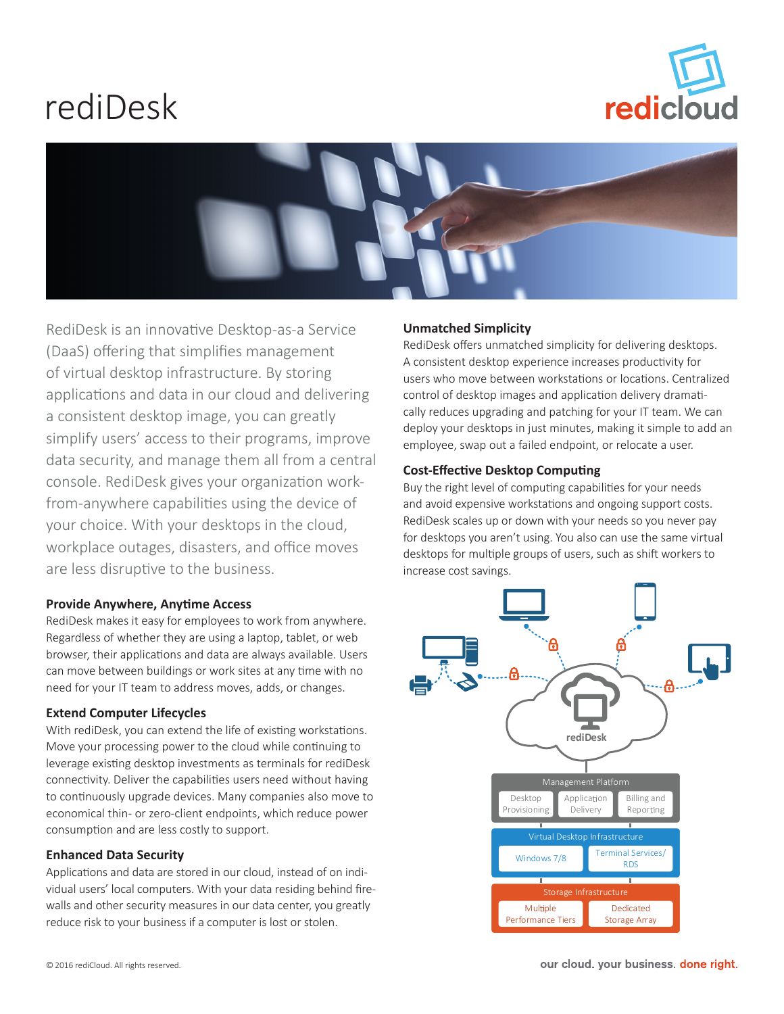# rediDesk





RediDesk is an innovative Desktop-as-a Service (DaaS) offering that simplifies management of virtual desktop infrastructure. By storing applications and data in our cloud and delivering a consistent desktop image, you can greatly simplify users' access to their programs, improve data security, and manage them all from a central console. RediDesk gives your organization workfrom-anywhere capabilities using the device of your choice. With your desktops in the cloud, workplace outages, disasters, and office moves are less disruptive to the business.

# **Provide Anywhere, Anytime Access**

RediDesk makes it easy for employees to work from anywhere. Regardless of whether they are using a laptop, tablet, or web browser, their applications and data are always available. Users can move between buildings or work sites at any time with no need for your IT team to address moves, adds, or changes.

# **Extend Computer Lifecycles**

With rediDesk, you can extend the life of existing workstations. Move your processing power to the cloud while continuing to leverage existing desktop investments as terminals for rediDesk connectivity. Deliver the capabilities users need without having to continuously upgrade devices. Many companies also move to economical thin- or zero-client endpoints, which reduce power consumption and are less costly to support.

# **Enhanced Data Security**

Applications and data are stored in our cloud, instead of on individual users' local computers. With your data residing behind firewalls and other security measures in our data center, you greatly reduce risk to your business if a computer is lost or stolen.

# **Unmatched Simplicity**

RediDesk offers unmatched simplicity for delivering desktops. A consistent desktop experience increases productivity for users who move between workstations or locations. Centralized control of desktop images and application delivery dramatically reduces upgrading and patching for your IT team. We can deploy your desktops in just minutes, making it simple to add an employee, swap out a failed endpoint, or relocate a user.

# **Cost-Effective Desktop Computing**

Buy the right level of computing capabilities for your needs and avoid expensive workstations and ongoing support costs. RediDesk scales up or down with your needs so you never pay for desktops you aren't using. You also can use the same virtual desktops for multiple groups of users, such as shift workers to increase cost savings.